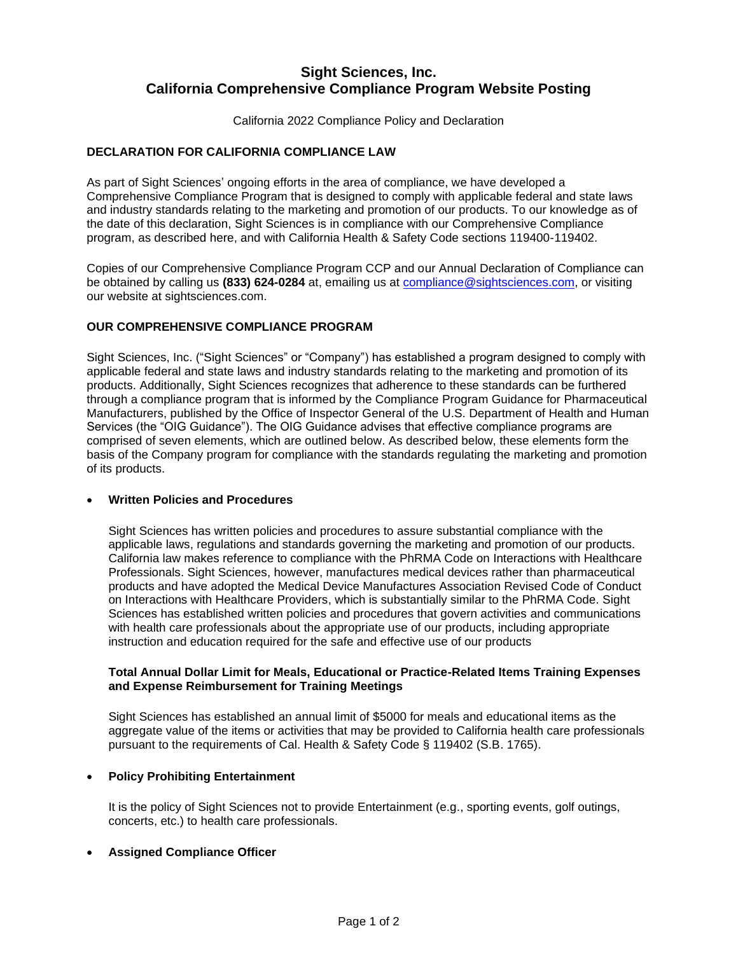# **Sight Sciences, Inc. California Comprehensive Compliance Program Website Posting**

California 2022 Compliance Policy and Declaration

## **DECLARATION FOR CALIFORNIA COMPLIANCE LAW**

As part of Sight Sciences' ongoing efforts in the area of compliance, we have developed a Comprehensive Compliance Program that is designed to comply with applicable federal and state laws and industry standards relating to the marketing and promotion of our products. To our knowledge as of the date of this declaration, Sight Sciences is in compliance with our Comprehensive Compliance program, as described here, and with California Health & Safety Code sections 119400-119402.

Copies of our Comprehensive Compliance Program CCP and our Annual Declaration of Compliance can be obtained by calling us **(833) 624-0284** at, emailing us at [compliance@sightsciences.com,](mailto:compliance@sightsciences.com) or visiting our website at sightsciences.com.

#### **OUR COMPREHENSIVE COMPLIANCE PROGRAM**

Sight Sciences, Inc. ("Sight Sciences" or "Company") has established a program designed to comply with applicable federal and state laws and industry standards relating to the marketing and promotion of its products. Additionally, Sight Sciences recognizes that adherence to these standards can be furthered through a compliance program that is informed by the Compliance Program Guidance for Pharmaceutical Manufacturers, published by the Office of Inspector General of the U.S. Department of Health and Human Services (the "OIG Guidance"). The OIG Guidance advises that effective compliance programs are comprised of seven elements, which are outlined below. As described below, these elements form the basis of the Company program for compliance with the standards regulating the marketing and promotion of its products.

#### • **Written Policies and Procedures**

Sight Sciences has written policies and procedures to assure substantial compliance with the applicable laws, regulations and standards governing the marketing and promotion of our products. California law makes reference to compliance with the PhRMA Code on Interactions with Healthcare Professionals. Sight Sciences, however, manufactures medical devices rather than pharmaceutical products and have adopted the Medical Device Manufactures Association Revised Code of Conduct on Interactions with Healthcare Providers, which is substantially similar to the PhRMA Code. Sight Sciences has established written policies and procedures that govern activities and communications with health care professionals about the appropriate use of our products, including appropriate instruction and education required for the safe and effective use of our products

#### **Total Annual Dollar Limit for Meals, Educational or Practice-Related Items Training Expenses and Expense Reimbursement for Training Meetings**

Sight Sciences has established an annual limit of \$5000 for meals and educational items as the aggregate value of the items or activities that may be provided to California health care professionals pursuant to the requirements of Cal. Health & Safety Code § 119402 (S.B. 1765).

#### • **Policy Prohibiting Entertainment**

It is the policy of Sight Sciences not to provide Entertainment (e.g., sporting events, golf outings, concerts, etc.) to health care professionals.

#### • **Assigned Compliance Officer**